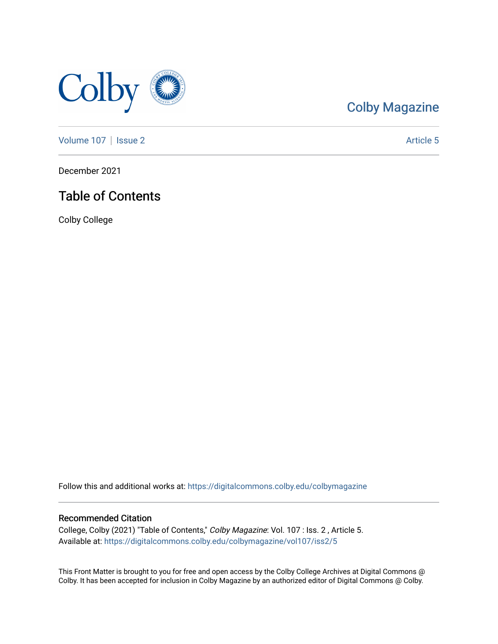

# [Colby Magazine](https://digitalcommons.colby.edu/colbymagazine)

[Volume 107](https://digitalcommons.colby.edu/colbymagazine/vol107) | [Issue 2](https://digitalcommons.colby.edu/colbymagazine/vol107/iss2) Article 5

December 2021

## Table of Contents

Colby College

Follow this and additional works at: [https://digitalcommons.colby.edu/colbymagazine](https://digitalcommons.colby.edu/colbymagazine?utm_source=digitalcommons.colby.edu%2Fcolbymagazine%2Fvol107%2Fiss2%2F5&utm_medium=PDF&utm_campaign=PDFCoverPages)

## Recommended Citation

College, Colby (2021) "Table of Contents," Colby Magazine: Vol. 107 : Iss. 2 , Article 5. Available at: [https://digitalcommons.colby.edu/colbymagazine/vol107/iss2/5](https://digitalcommons.colby.edu/colbymagazine/vol107/iss2/5?utm_source=digitalcommons.colby.edu%2Fcolbymagazine%2Fvol107%2Fiss2%2F5&utm_medium=PDF&utm_campaign=PDFCoverPages) 

This Front Matter is brought to you for free and open access by the Colby College Archives at Digital Commons @ Colby. It has been accepted for inclusion in Colby Magazine by an authorized editor of Digital Commons @ Colby.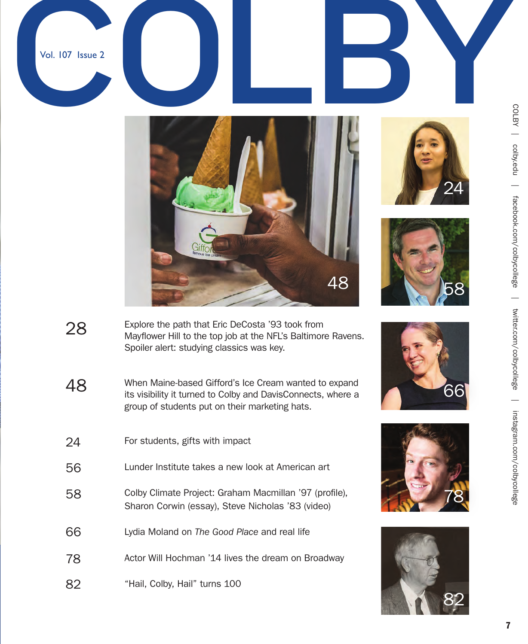







48





COLBY | colby.edu | colby.edu | facebook.com/colbycollege | twitter.com/colbycollege | instagram.com/colbycollege  $\equiv$ facebook.com/colbycollege | twitter.com/colbycollege  $\overline{\phantom{0}}$ instagram.com/colbycollege

- Explore the path that Eric DeCosta '93 took from Mayflower Hill to the top job at the NFL's Baltimore Ravens. Spoiler alert: studying classics was key. 28
- When Maine-based Gifford's Ice Cream wanted to expand its visibility it turned to Colby and DavisConnects, where a group of students put on their marketing hats. 48
- For students, gifts with impact Lunder Institute takes a new look at American art Colby Climate Project: Graham Macmillan '97 (profile), Sharon Corwin (essay), Steve Nicholas '83 (video) Lydia Moland on *The Good Place* and real life Actor Will Hochman '14 lives the dream on Broadway "Hail, Colby, Hail" turns 100 56 58 66 78 82 24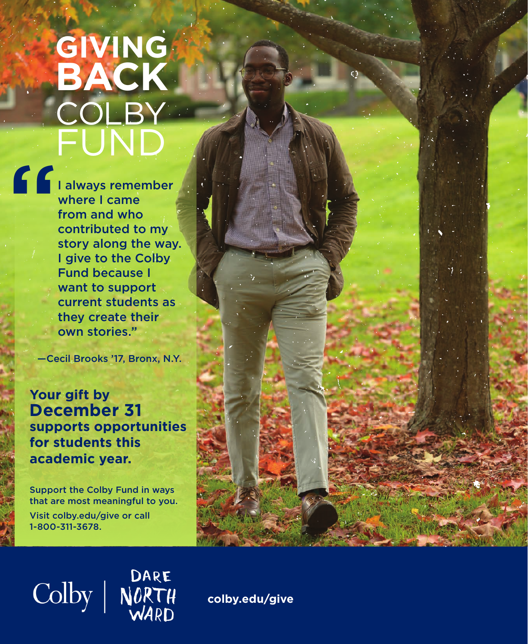# **GIVING BACK COLBY** FUND

 $\begin{picture}(180,17)(-10,0) \put(0,0){\line(1,0){15}} \put(10,0){\line(1,0){15}} \put(10,0){\line(1,0){15}} \put(10,0){\line(1,0){15}} \put(10,0){\line(1,0){15}} \put(10,0){\line(1,0){15}} \put(10,0){\line(1,0){15}} \put(10,0){\line(1,0){15}} \put(10,0){\line(1,0){15}} \put(10,0){\line(1,0){15}} \put(10,0){\line(1,0){15}} \put(10,$ where I came from and who contributed to my story along the way. I give to the Colby Fund because I want to support current students as they create their own stories."

—Cecil Brooks '17, Bronx, N.Y.

**Your gift by December 31 supports opportunities for students this academic year.** 

Support the Colby Fund in ways that are most meaningful to you. Visit colby.edu/give or call 1-800-311-3678.

Colby | NORTH



**colby.edu/give**